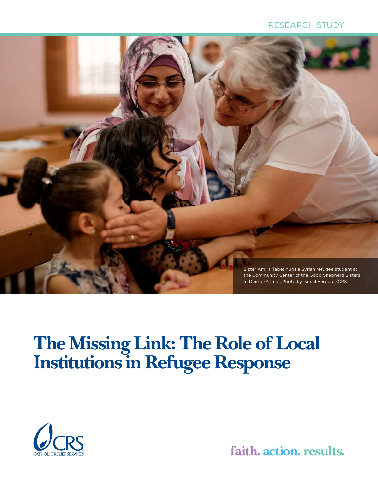# RESEARCH STUDY



# **The Missing Link: The Role of Local Institutions in Refugee Response**



faith, action, results.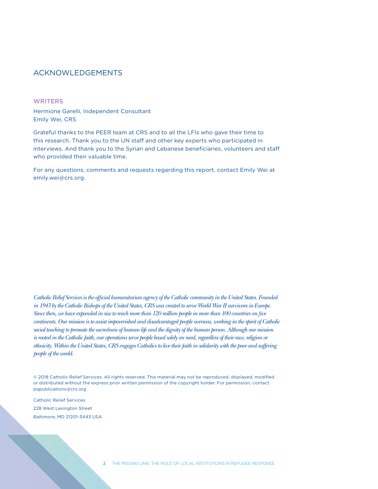### ACKNOWLEDGEMENTS

#### **WRITERS**

Hermione Garelli, Independent Consultant Emily Wei, CRS

Grateful thanks to the PEER team at CRS and to all the LFIs who gave their time to this research. Thank you to the UN staff and other key experts who participated in interviews. And thank you to the Syrian and Lebanese beneficiaries, volunteers and staff who provided their valuable time.

For any questions, comments and requests regarding this report, contact Emily Wei at emily.wei@crs.org.

*Catholic Relief Services is the official humanitarian agency of the Catholic community in the United States. Founded in 1943 by the Catholic Bishops of the United States, CRS was created to serve World War II survivors in Europe. Since then, we have expanded in size to reach more than 120 million people in more than 100 countries on five continents. Our mission is to assist impoverished and disadvantaged people overseas, working in the spirit of Catholic social teaching to promote the sacredness of human life and the dignity of the human person. Although our mission is rooted in the Catholic faith, our operations serve people based solely on need, regardless of their race, religion or ethnicity. Within the United States, CRS engages Catholics to live their faith in solidarity with the poor and suffering people of the world.*

© 2018 Catholic Relief Services. All rights reserved. This material may not be reproduced, displayed, modified or distributed without the express prior written permission of the copyright holder. For permission, contact pqpublications@crs.org

Catholic Relief Services 228 West Lexington Street Baltimore, MD 21201-3443 USA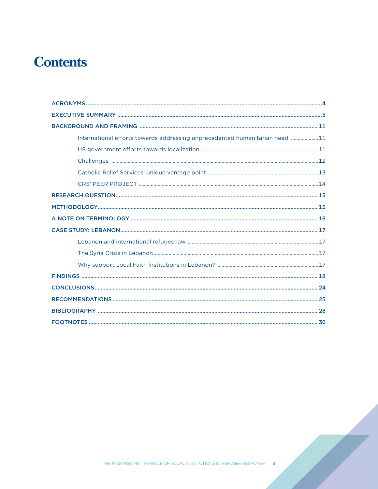# **Contents**

| International efforts towards addressing unprecedented humanitarian need 11 |  |
|-----------------------------------------------------------------------------|--|
|                                                                             |  |
|                                                                             |  |
|                                                                             |  |
|                                                                             |  |
|                                                                             |  |
|                                                                             |  |
|                                                                             |  |
|                                                                             |  |
|                                                                             |  |
|                                                                             |  |
|                                                                             |  |
|                                                                             |  |
|                                                                             |  |
|                                                                             |  |
|                                                                             |  |
|                                                                             |  |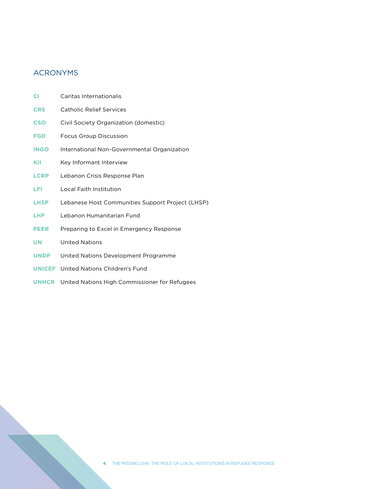# <span id="page-3-0"></span>ACRONYMS

| Caritas Internationalis                          |
|--------------------------------------------------|
| <b>Catholic Relief Services</b>                  |
| Civil Society Organization (domestic)            |
| Focus Group Discussion                           |
| International Non-Governmental Organization      |
| Key Informant Interview                          |
| Lebanon Crisis Response Plan                     |
| Local Faith Institution                          |
| Lebanese Host Communities Support Project (LHSP) |
| Lebanon Humanitarian Fund                        |
| Preparing to Excel in Emergency Response         |
| <b>United Nations</b>                            |
| United Nations Development Programme             |
| <b>UNICEF</b> United Nations Children's Fund     |
|                                                  |

**UNHCR** United Nations High Commissioner for Refugees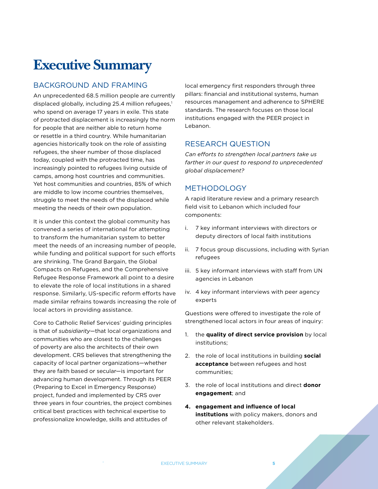# <span id="page-4-0"></span>**Executive Summary**

# BACKGROUND AND FRAMING

An unprecedented 68.5 million people are currently displaced globally, including 25.4 million refugees,<sup>1</sup> who spend on average 17 years in exile. This state of protracted displacement is increasingly the norm for people that are neither able to return home or resettle in a third country. While humanitarian agencies historically took on the role of assisting refugees, the sheer number of those displaced today, coupled with the protracted time, has increasingly pointed to refugees living outside of camps, among host countries and communities. Yet host communities and countries, 85% of which are middle to low income countries themselves, struggle to meet the needs of the displaced while meeting the needs of their own population.

It is under this context the global community has convened a series of international for attempting to transform the humanitarian system to better meet the needs of an increasing number of people, while funding and political support for such efforts are shrinking. The Grand Bargain, the Global Compacts on Refugees, and the Comprehensive Refugee Response Framework all point to a desire to elevate the role of local institutions in a shared response. Similarly, US-specific reform efforts have made similar refrains towards increasing the role of local actors in providing assistance.

Core to Catholic Relief Services' guiding principles is that of *subsidiarity—*that local organizations and communities who are closest to the challenges of poverty are also the architects of their own development. CRS believes that strengthening the capacity of local partner organizations—whether they are faith based or secular—is important for advancing human development. Through its PEER (Preparing to Excel in Emergency Response) project, funded and implemented by CRS over three years in four countries, the project combines critical best practices with technical expertise to professionalize knowledge, skills and attitudes of

local emergency first responders through three pillars: financial and institutional systems, human resources management and adherence to SPHERE standards. The research focuses on those local institutions engaged with the PEER project in Lebanon.

# RESEARCH QUESTION

*Can efforts to strengthen local partners take us farther in our quest to respond to unprecedented global displacement?* 

# METHODOLOGY

A rapid literature review and a primary research field visit to Lebanon which included four components:

- i. 7 key informant interviews with directors or deputy directors of local faith institutions
- ii. 7 focus group discussions, including with Syrian refugees
- iii. 5 key informant interviews with staff from UN agencies in Lebanon
- iv. 4 key informant interviews with peer agency experts

Questions were offered to investigate the role of strengthened local actors in four areas of inquiry:

- 1. the **quality of direct service provision** by local institutions;
- 2. the role of local institutions in building **social acceptance** between refugees and host communities;
- 3. the role of local institutions and direct **donor engagement**; and
- **4. engagement and influence of local institutions** with policy makers, donors and other relevant stakeholders.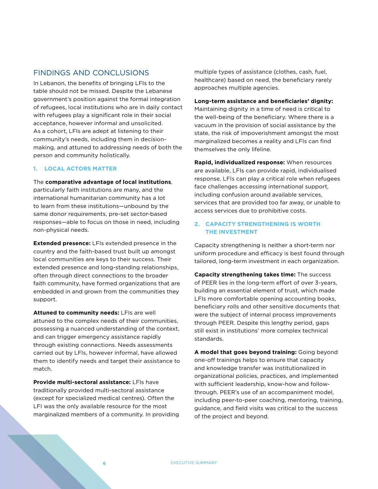# FINDINGS AND CONCLUSIONS

In Lebanon, the benefits of bringing LFIs to the table should not be missed. Despite the Lebanese government's position against the formal integration of refugees, local institutions who are in daily contact with refugees play a significant role in their social acceptance, however informal and unsolicited. As a cohort, LFIs are adept at listening to their community's needs, including them in decisionmaking, and attuned to addressing needs of both the person and community holistically.

#### **1. LOCAL ACTORS MATTER**

The **comparative advantage of local institutions**, particularly faith institutions are many, and the international humanitarian community has a lot to learn from these institutions—unbound by the same donor requirements, pre-set sector-based responses—able to focus on those in need, including non-physical needs.

**Extended presence:** LFIs extended presence in the country and the faith-based trust built up amongst local communities are keys to their success. Their extended presence and long-standing relationships, often through direct connections to the broader faith community, have formed organizations that are embedded in and grown from the communities they support.

**Attuned to community needs:** LFIs are well attuned to the complex needs of their communities, possessing a nuanced understanding of the context, and can trigger emergency assistance rapidly through existing connections. Needs assessments carried out by LFIs, however informal, have allowed them to identify needs and target their assistance to match.

**Provide multi-sectoral assistance:** LFIs have traditionally provided multi-sectoral assistance (except for specialized medical centres). Often the LFI was the only available resource for the most marginalized members of a community. In providing multiple types of assistance (clothes, cash, fuel, healthcare) based on need, the beneficiary rarely approaches multiple agencies.

**Long-term assistance and beneficiaries' dignity:** Maintaining dignity in a time of need is critical to the well-being of the beneficiary. Where there is a vacuum in the provision of social assistance by the state, the risk of impoverishment amongst the most marginalized becomes a reality and LFIs can find themselves the only lifeline.

**Rapid, individualized response:** When resources are available, LFIs can provide rapid, individualised response. LFIs can play a critical role when refugees face challenges accessing international support, including confusion around available services, services that are provided too far away, or unable to access services due to prohibitive costs.

#### **2. CAPACITY STRENGTHENING IS WORTH THE INVESTMENT**

Capacity strengthening is neither a short-term nor uniform procedure and efficacy is best found through tailored, long-term investment in each organization.

**Capacity strengthening takes time:** The success of PEER lies in the long-term effort of over 3-years, building an essential element of trust, which made LFIs more comfortable opening accounting books, beneficiary rolls and other sensitive documents that were the subject of internal process improvements through PEER. Despite this lengthy period, gaps still exist in institutions' more complex technical standards.

**A model that goes beyond training:** Going beyond one-off trainings helps to ensure that capacity and knowledge transfer was institutionalized in organizational policies, practices, and implemented with sufficient leadership, know-how and followthrough. PEER's use of an accompaniment model, including peer-to-peer coaching, mentoring, training, guidance, and field visits was critical to the success of the project and beyond.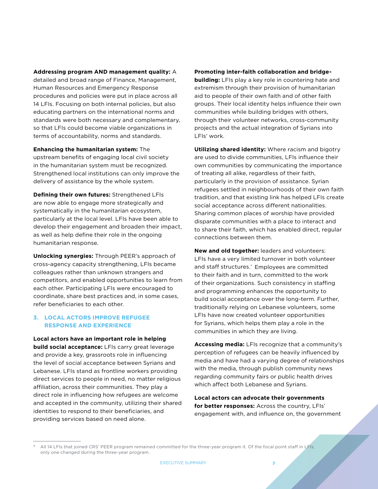**Addressing program AND management quality:** A detailed and broad range of Finance, Management, Human Resources and Emergency Response procedures and policies were put in place across all 14 LFIs. Focusing on both internal policies, but also educating partners on the international norms and standards were both necessary and complementary, so that LFIs could become viable organizations in terms of accountability, norms and standards.

**Enhancing the humanitarian system:** The upstream benefits of engaging local civil society in the humanitarian system must be recognized. Strengthened local institutions can only improve the delivery of assistance by the whole system.

**Defining their own futures:** Strengthened LFIs are now able to engage more strategically and systematically in the humanitarian ecosystem, particularly at the local level. LFIs have been able to develop their engagement and broaden their impact, as well as help define their role in the ongoing humanitarian response.

**Unlocking synergies:** Through PEER's approach of cross-agency capacity strengthening, LFIs became colleagues rather than unknown strangers and competitors, and enabled opportunities to learn from each other. Participating LFIs were encouraged to coordinate, share best practices and, in some cases, refer beneficiaries to each other.

#### **3. LOCAL ACTORS IMPROVE REFUGEE RESPONSE AND EXPERIENCE**

**Local actors have an important role in helping build social acceptance:** LFIs carry great leverage and provide a key, grassroots role in influencing the level of social acceptance between Syrians and Lebanese. LFIs stand as frontline workers providing direct services to people in need, no matter religious affiliation, across their communities. They play a direct role in influencing how refugees are welcome and accepted in the community, utilizing their shared identities to respond to their beneficiaries, and providing services based on need alone.

#### **Promoting inter-faith collaboration and bridge-**

**building:** LFIs play a key role in countering hate and extremism through their provision of humanitarian aid to people of their own faith and of other faith groups. Their local identity helps influence their own communities while building bridges with others, through their volunteer networks, cross-community projects and the actual integration of Syrians into LFIs' work.

**Utilizing shared identity:** Where racism and bigotry are used to divide communities, LFIs influence their own communities by communicating the importance of treating all alike, regardless of their faith, particularly in the provision of assistance. Syrian refugees settled in neighbourhoods of their own faith tradition, and that existing link has helped LFIs create social acceptance across different nationalities. Sharing common places of worship have provided disparate communities with a place to interact and to share their faith, which has enabled direct, regular connections between them.

**New and old together:** leaders and volunteers: LFIs have a very limited turnover in both volunteer and staff structures.\* Employees are committed to their faith and in turn, committed to the work of their organizations. Such consistency in staffing and programming enhances the opportunity to build social acceptance over the long-term. Further, traditionally relying on Lebanese volunteers, some LFIs have now created volunteer opportunities for Syrians, which helps them play a role in the communities in which they are living.

**Accessing media:** LFIs recognize that a community's perception of refugees can be heavily influenced by media and have had a varying degree of relationships with the media, through publish community news regarding community fairs or public health drives which affect both Lebanese and Syrians.

**Local actors can advocate their governments for better responses:** Across the country, LFIs' engagement with, and influence on, the government

All 14 LFIs that joined CRS' PEER program remained committed for the three-year program it. Of the focal point staff in LFIs, only one changed during the three-year program.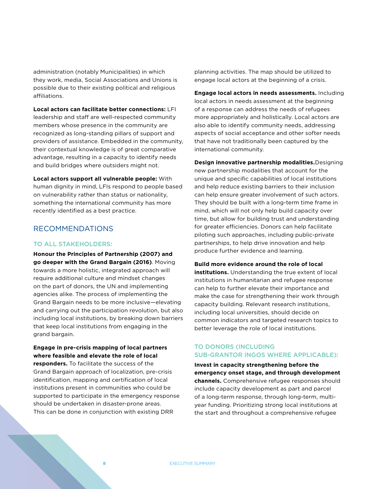administration (notably Municipalities) in which they work, media, Social Associations and Unions is possible due to their existing political and religious affiliations.

**Local actors can facilitate better connections:** LFI leadership and staff are well-respected community members whose presence in the community are recognized as long-standing pillars of support and providers of assistance. Embedded in the community, their contextual knowledge is of great comparative advantage, resulting in a capacity to identify needs and build bridges where outsiders might not.

**Local actors support all vulnerable people:** With human dignity in mind, LFIs respond to people based on vulnerability rather than status or nationality, something the international community has more recently identified as a best practice.

### RECOMMENDATIONS

#### TO ALL STAKEHOLDERS:

**Honour the Principles of Partnership (2007) and go deeper with the Grand Bargain (2016)**. Moving towards a more holistic, integrated approach will require additional culture and mindset changes on the part of donors, the UN and implementing agencies alike. The process of implementing the Grand Bargain needs to be more inclusive—elevating and carrying out the participation revolution, but also including local institutions, by breaking down barriers that keep local institutions from engaging in the grand bargain.

**Engage in pre-crisis mapping of local partners where feasible and elevate the role of local responders.** To facilitate the success of the Grand Bargain approach of localization, pre-crisis identification, mapping and certification of local institutions present in communities who could be supported to participate in the emergency response should be undertaken in disaster-prone areas. This can be done in conjunction with existing DRR

planning activities. The map should be utilized to engage local actors at the beginning of a crisis.

**Engage local actors in needs assessments.** Including local actors in needs assessment at the beginning of a response can address the needs of refugees more appropriately and holistically. Local actors are also able to identify community needs, addressing aspects of social acceptance and other softer needs that have not traditionally been captured by the international community.

**Design innovative partnership modalities.**Designing new partnership modalities that account for the unique and specific capabilities of local institutions and help reduce existing barriers to their inclusion can help ensure greater involvement of such actors. They should be built with a long-term time frame in mind, which will not only help build capacity over time, but allow for building trust and understanding for greater efficiencies. Donors can help facilitate piloting such approaches, including public-private partnerships, to help drive innovation and help produce further evidence and learning.

**Build more evidence around the role of local** 

**institutions.** Understanding the true extent of local institutions in humanitarian and refugee response can help to further elevate their importance and make the case for strengthening their work through capacity building. Relevant research institutions, including local universities, should decide on common indicators and targeted research topics to better leverage the role of local institutions.

#### TO DONORS (INCLUDING SUB-GRANTOR INGOS WHERE APPLICABLE):

**Invest in capacity strengthening before the emergency onset stage, and through development channels.** Comprehensive refugee responses should include capacity development as part and parcel of a long-term response, through long-term, multiyear funding. Prioritizing strong local institutions at the start and throughout a comprehensive refugee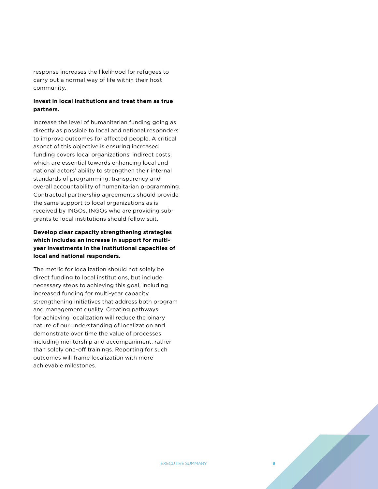response increases the likelihood for refugees to carry out a normal way of life within their host community.

#### **Invest in local institutions and treat them as true partners.**

Increase the level of humanitarian funding going as directly as possible to local and national responders to improve outcomes for affected people. A critical aspect of this objective is ensuring increased funding covers local organizations' indirect costs, which are essential towards enhancing local and national actors' ability to strengthen their internal standards of programming, transparency and overall accountability of humanitarian programming. Contractual partnership agreements should provide the same support to local organizations as is received by INGOs. INGOs who are providing subgrants to local institutions should follow suit.

#### **Develop clear capacity strengthening strategies which includes an increase in support for multiyear investments in the institutional capacities of local and national responders.**

The metric for localization should not solely be direct funding to local institutions, but include necessary steps to achieving this goal, including increased funding for multi-year capacity strengthening initiatives that address both program and management quality. Creating pathways for achieving localization will reduce the binary nature of our understanding of localization and demonstrate over time the value of processes including mentorship and accompaniment, rather than solely one-off trainings. Reporting for such outcomes will frame localization with more achievable milestones.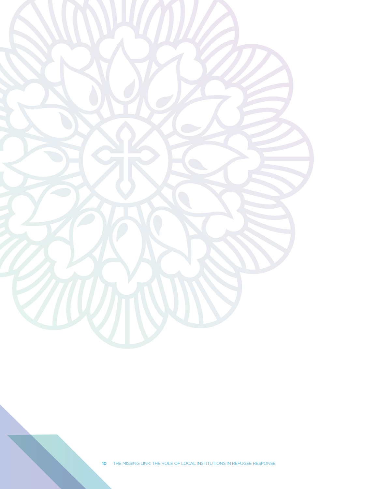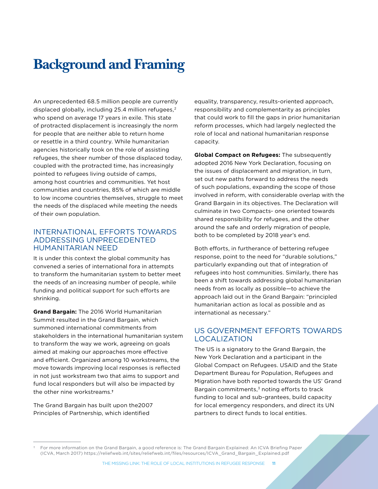# <span id="page-10-0"></span>**Background and Framing**

An unprecedented 68.5 million people are currently displaced globally, including 25.4 million refugees,<sup>2</sup> who spend on average 17 years in exile. This state of protracted displacement is increasingly the norm for people that are neither able to return home or resettle in a third country. While humanitarian agencies historically took on the role of assisting refugees, the sheer number of those displaced today, coupled with the protracted time, has increasingly pointed to refugees living outside of camps, among host countries and communities. Yet host communities and countries, 85% of which are middle to low income countries themselves, struggle to meet the needs of the displaced while meeting the needs of their own population.

# INTERNATIONAL EFFORTS TOWARDS ADDRESSING UNPRECEDENTED HUMANITARIAN NEED

It is under this context the global community has convened a series of international fora in attempts to transform the humanitarian system to better meet the needs of an increasing number of people, while funding and political support for such efforts are shrinking.

**Grand Bargain:** The 2016 World Humanitarian Summit resulted in the Grand Bargain, which summoned international commitments from stakeholders in the international humanitarian system to transform the way we work, agreeing on goals aimed at making our approaches more effective and efficient. Organized among 10 workstreams, the move towards improving local responses is reflected in not just workstream two that aims to support and fund local responders but will also be impacted by the other nine workstreams.†

The Grand Bargain has built upon the2007 Principles of Partnership, which identified

equality, transparency, results-oriented approach, responsibility and complementarity as principles that could work to fill the gaps in prior humanitarian reform processes, which had largely neglected the role of local and national humanitarian response capacity.

**Global Compact on Refugees:** The subsequently adopted 2016 New York Declaration, focusing on the issues of displacement and migration, in turn, set out new paths forward to address the needs of such populations, expanding the scope of those involved in reform, with considerable overlap with the Grand Bargain in its objectives. The Declaration will culminate in two Compacts- one oriented towards shared responsibility for refugees, and the other around the safe and orderly migration of people, both to be completed by 2018 year's end.

Both efforts, in furtherance of bettering refugee response, point to the need for "durable solutions," particularly expanding out that of integration of refugees into host communities. Similarly, there has been a shift towards addressing global humanitarian needs from as locally as possible—to achieve the approach laid out in the Grand Bargain: "principled humanitarian action as local as possible and as international as necessary."

### US GOVERNMENT EFFORTS TOWARDS LOCALIZATION

The US is a signatory to the Grand Bargain, the New York Declaration and a participant in the Global Compact on Refugees. USAID and the State Department Bureau for Population, Refugees and Migration have both reported towards the US' Grand Bargain commitments, $3$  noting efforts to track funding to local and sub-grantees, build capacity for local emergency responders, and direct its UN partners to direct funds to local entities.

<sup>†</sup> For more information on the Grand Bargain, a good reference is: The Grand Bargain Explained: An ICVA Briefing Paper (ICVA, March 2017) https://reliefweb.int/sites/reliefweb.int/files/resources/ICVA\_Grand\_Bargain\_Explained.pdf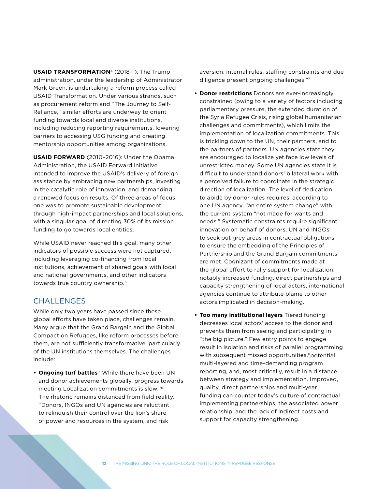<span id="page-11-0"></span>**USAID TRANSFORMATION**4 (2018– ): The Trump administration, under the leadership of Administrator Mark Green, is undertaking a reform process called USAID Transformation. Under various strands, such as procurement reform and "The Journey to Self-Reliance," similar efforts are underway to orient funding towards local and diverse institutions, including reducing reporting requirements, lowering barriers to accessing USG funding and creating mentorship opportunities among organizations.

**USAID FORWARD** (2010–2016): Under the Obama Administration, the USAID Forward initiative intended to improve the USAID's delivery of foreign assistance by embracing new partnerships, investing in the catalytic role of innovation, and demanding a renewed focus on results. Of three areas of focus, one was to promote sustainable development through high-impact partnerships and local solutions, with a singular goal of directing 30% of its mission funding to go towards local entities.

While USAID never reached this goal, many other indicators of possible success were not captured, including leveraging co-financing from local institutions, achievement of shared goals with local and national governments, and other indicators towards true country ownership.5

### **CHALLENGES**

While only two years have passed since these global efforts have taken place, challenges remain. Many argue that the Grand Bargain and the Global Compact on Refugees, like reform processes before them, are not sufficiently transformative, particularly of the UN institutions themselves. The challenges include:

**• Ongoing turf battles** "While there have been UN and donor achievements globally, progress towards meeting Localization commitments is slow."6 The rhetoric remains distanced from field reality. "Donors, INGOs and UN agencies are reluctant to relinquish their control over the lion's share of power and resources in the system, and risk

aversion, internal rules, staffing constraints and due diligence present ongoing challenges."7

- **• Donor restrictions** Donors are ever-increasingly constrained (owing to a variety of factors including parliamentary pressure, the extended duration of the Syria Refugee Crisis, rising global humanitarian challenges and commitments), which limits the implementation of localization commitments. This is trickling down to the UN, their partners, and to the partners of partners. UN agencies state they are encouraged to localize yet face low levels of unrestricted money. Some UN agencies state it is difficult to understand donors' bilateral work with a perceived failure to coordinate in the strategic direction of localization. The level of dedication to abide by donor rules requires, according to one UN agency, "an entire system change" with the current system "not made for wants and needs." Systematic constraints require significant innovation on behalf of donors, UN and INGOs to seek out grey areas in contractual obligations to ensure the embedding of the Principles of Partnership and the Grand Bargain commitments are met. Cognizant of commitments made at the global effort to rally support for localization, notably increased funding, direct partnerships and capacity strengthening of local actors, international agencies continue to attribute blame to other actors implicated in decision-making.
- **• Too many institutional layers** Tiered funding decreases local actors' access to the donor and prevents them from seeing and participating in "the big picture." Few entry points to engage result in isolation and risks of parallel programming with subsequent missed opportunities,<sup>8</sup>potential multi-layered and time-demanding program reporting, and, most critically, result in a distance between strategy and implementation. Improved, quality, direct partnerships and multi-year funding can counter today's culture of contractual implementing partnerships, the associated power relationship, and the lack of indirect costs and support for capacity strengthening.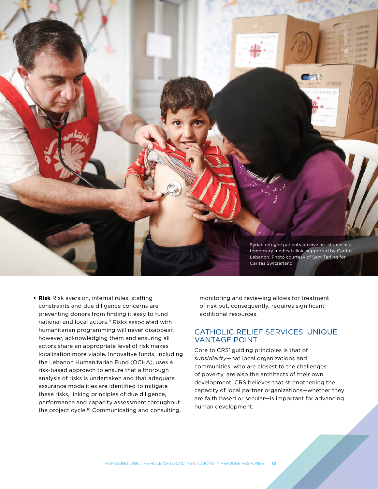<span id="page-12-0"></span>

**• Risk** Risk aversion, internal rules, staffing constraints and due diligence concerns are preventing donors from finding it easy to fund national and local actors.9 Risks associated with humanitarian programming will never disappear, however, acknowledging them and ensuring all actors share an appropriate level of risk makes localization more viable. Innovative funds, including the Lebanon Humanitarian Fund (OCHA), uses a risk-based approach to ensure that a thorough analysis of risks is undertaken and that adequate assurance modalities are identified to mitigate these risks, linking principles of due diligence, performance and capacity assessment throughout the project cycle.10 Communicating and consulting,

monitoring and reviewing allows for treatment of risk but, consequently, requires significant additional resources.

#### CATHOLIC RELIEF SERVICES' UNIQUE VANTAGE POINT

Core to CRS' guiding principles is that of *subsidiarity*—hat local organizations and communities, who are closest to the challenges of poverty, are also the architects of their own development. CRS believes that strengthening the capacity of local partner organizations—whether they are faith based or secular—is important for advancing human development.

THE MISSING LINK: THE ROLE OF LOCAL INSTITUTIONS IN REFUGEE RESPONSE **13**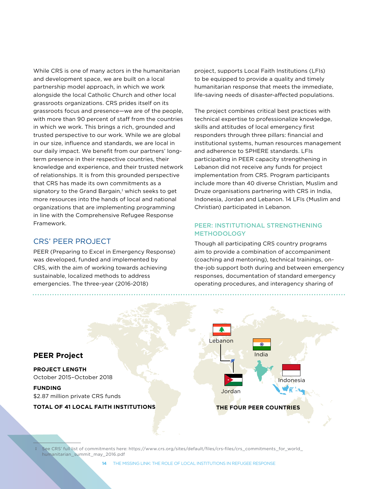<span id="page-13-0"></span>While CRS is one of many actors in the humanitarian and development space, we are built on a local partnership model approach, in which we work alongside the local Catholic Church and other local grassroots organizations. CRS prides itself on its grassroots focus and presence—we are of the people, with more than 90 percent of staff from the countries in which we work. This brings a rich, grounded and trusted perspective to our work. While we are global in our size, influence and standards, we are local in our daily impact. We benefit from our partners' longterm presence in their respective countries, their knowledge and experience, and their trusted network of relationships. It is from this grounded perspective that CRS has made its own commitments as a signatory to the Grand Bargain,‡ which seeks to get more resources into the hands of local and national organizations that are implementing programming in line with the Comprehensive Refugee Response Framework.

# CRS' PEER PROJECT

PEER (Preparing to Excel in Emergency Response) was developed, funded and implemented by CRS, with the aim of working towards achieving sustainable, localized methods to address emergencies. The three-year (2016-2018)

project, supports Local Faith Institutions (LFIs) to be equipped to provide a quality and timely humanitarian response that meets the immediate, life-saving needs of disaster-affected populations.

The project combines critical best practices with technical expertise to professionalize knowledge, skills and attitudes of local emergency first responders through three pillars: financial and institutional systems, human resources management and adherence to SPHERE standards. LFIs participating in PEER capacity strengthening in Lebanon did not receive any funds for project implementation from CRS. Program participants include more than 40 diverse Christian, Muslim and Druze organisations partnering with CRS in India, Indonesia, Jordan and Lebanon. 14 LFIs (Muslim and Christian) participated in Lebanon.

#### PEER: INSTITUTIONAL STRENGTHENING METHODOLOGY

Though all participating CRS country programs aim to provide a combination of accompaniment (coaching and mentoring), technical trainings, onthe-job support both during and between emergency responses, documentation of standard emergency operating procedures, and interagency sharing of



### **PEER Project**

**PROJECT LENGTH** October 2015–October 2018

**FUNDING** \$2.87 million private CRS funds

‡ See CRS' full list of commitments here: https://www.crs.org/sites/default/files/crs-files/crs\_commitments\_for\_world\_ humanitarian\_summit\_may\_2016.pdf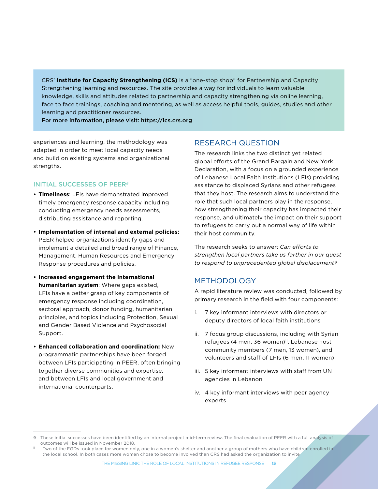<span id="page-14-0"></span>CRS' **Institute for Capacity Strengthening (ICS)** is a "one-stop shop" for Partnership and Capacity Strengthening learning and resources. The site provides a way for individuals to learn valuable knowledge, skills and attitudes related to partnership and capacity strengthening via online learning, face to face trainings, coaching and mentoring, as well as access helpful tools, guides, studies and other learning and practitioner resources.

For more information, please visit:<https://ics.crs.org>

experiences and learning, the methodology was adapted in order to meet local capacity needs and build on existing systems and organizational strengths.

#### INITIAL SUCCESSES OF PEER*§*

- **• Timeliness**: LFIs have demonstrated improved timely emergency response capacity including conducting emergency needs assessments, distributing assistance and reporting.
- **• Implementation of internal and external policies:**  PEER helped organizations identify gaps and implement a detailed and broad range of Finance, Management, Human Resources and Emergency Response procedures and policies.
- **• Increased engagement the international humanitarian system**: Where gaps existed, LFIs have a better grasp of key components of emergency response including coordination, sectoral approach, donor funding, humanitarian principles, and topics including Protection, Sexual and Gender Based Violence and Psychosocial Support.
- **• Enhanced collaboration and coordination:** New programmatic partnerships have been forged between LFIs participating in PEER, often bringing together diverse communities and expertise, and between LFIs and local government and international counterparts.

### RESEARCH QUESTION

The research links the two distinct yet related global efforts of the Grand Bargain and New York Declaration, with a focus on a grounded experience of Lebanese Local Faith Institutions (LFIs) providing assistance to displaced Syrians and other refugees that they host. The research aims to understand the role that such local partners play in the response, how strengthening their capacity has impacted their response, and ultimately the impact on their support to refugees to carry out a normal way of life within their host community.

The research seeks to answer: *Can efforts to strengthen local partners take us farther in our quest to respond to unprecedented global displacement?* 

# METHODOLOGY

A rapid literature review was conducted, followed by primary research in the field with four components:

- i. 7 key informant interviews with directors or deputy directors of local faith institutions
- ii. 7 focus group discussions, including with Syrian refugees (4 men, 36 women)<sup>II</sup>, Lebanese host community members (7 men, 13 women), and volunteers and staff of LFIs (6 men, 11 women)
- iii. 5 key informant interviews with staff from UN agencies in Lebanon
- iv. 4 key informant interviews with peer agency experts

THE MISSING LINK: THE ROLE OF LOCAL INSTITUTIONS IN REFUGEE RESPONSE **15**

<sup>§</sup> These initial successes have been identified by an internal project mid-term review. The final evaluation of PEER with a full analysis of outcomes will be issued in November 2018.

Two of the FGDs took place for women only, one in a women's shelter and another a group of mothers who have children enrolled in the local school. In both cases more women chose to become involved than CRS had asked the organization to invite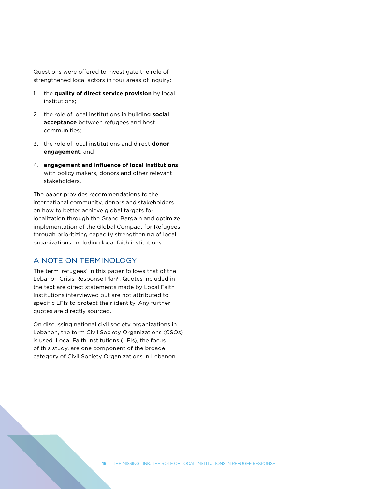<span id="page-15-0"></span>Questions were offered to investigate the role of strengthened local actors in four areas of inquiry:

- 1. the **quality of direct service provision** by local institutions;
- 2. the role of local institutions in building **social acceptance** between refugees and host communities;
- 3. the role of local institutions and direct **donor engagement**; and
- 4. **engagement and influence of local institutions**  with policy makers, donors and other relevant stakeholders.

The paper provides recommendations to the international community, donors and stakeholders on how to better achieve global targets for localization through the Grand Bargain and optimize implementation of the Global Compact for Refugees through prioritizing capacity strengthening of local organizations, including local faith institutions.

#### A NOTE ON TERMINOLOGY

The term 'refugees' in this paper follows that of the Lebanon Crisis Response Plan<sup>11</sup>. Quotes included in the text are direct statements made by Local Faith Institutions interviewed but are not attributed to specific LFIs to protect their identity. Any further quotes are directly sourced.

On discussing national civil society organizations in Lebanon, the term Civil Society Organizations (CSOs) is used. Local Faith Institutions (LFIs), the focus of this study, are one component of the broader category of Civil Society Organizations in Lebanon.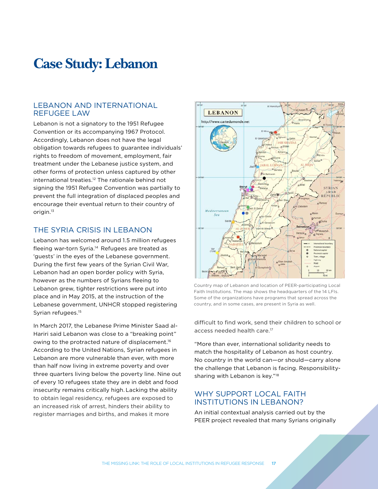# <span id="page-16-0"></span>**Case Study: Lebanon**

### LEBANON AND INTERNATIONAL REFUGEE LAW

Lebanon is not a signatory to the 1951 Refugee Convention or its accompanying 1967 Protocol. Accordingly, Lebanon does not have the legal obligation towards refugees to guarantee individuals' rights to freedom of movement, employment, fair treatment under the Lebanese justice system, and other forms of protection unless captured by other international treaties.12 The rationale behind not signing the 1951 Refugee Convention was partially to prevent the full integration of displaced peoples and encourage their eventual return to their country of origin. $13$ 

### THE SYRIA CRISIS IN LEBANON

Lebanon has welcomed around 1.5 million refugees fleeing war-torn Syria.14 Refugees are treated as 'guests' in the eyes of the Lebanese government. During the first few years of the Syrian Civil War, Lebanon had an open border policy with Syria, however as the numbers of Syrians fleeing to Lebanon grew, tighter restrictions were put into place and in May 2015, at the instruction of the Lebanese government, UNHCR stopped registering Syrian refugees.<sup>15</sup>

In March 2017, the Lebanese Prime Minister Saad al-Hariri said Lebanon was close to a "breaking point" owing to the protracted nature of displacement.16 According to the United Nations, Syrian refugees in Lebanon are more vulnerable than ever, with more than half now living in extreme poverty and over three quarters living below the poverty line. Nine out of every 10 refugees state they are in debt and food insecurity remains critically high. Lacking the ability to obtain legal residency, refugees are exposed to an increased risk of arrest, hinders their ability to register marriages and births, and makes it more



Country map of Lebanon and location of PEER-participating Local Faith Institutions. The map shows the headquarters of the 14 LFIs. Some of the organizations have programs that spread across the country, and in some cases, are present in Syria as well.

difficult to find work, send their children to school or access needed health care.17

"More than ever, international solidarity needs to match the hospitality of Lebanon as host country. No country in the world can—or should—carry alone the challenge that Lebanon is facing. Responsibilitysharing with Lebanon is key."18

# WHY SUPPORT LOCAL FAITH INSTITUTIONS IN LEBANON?

An initial contextual analysis carried out by the PEER project revealed that many Syrians originally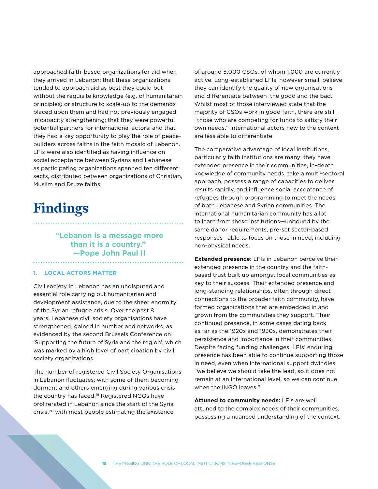<span id="page-17-0"></span>approached faith-based organizations for aid when they arrived in Lebanon; that these organizations tended to approach aid as best they could but without the requisite knowledge (e.g. of humanitarian principles) or structure to scale-up to the demands placed upon them and had not previously engaged in capacity strengthening; that they were powerful potential partners for international actors; and that they had a key opportunity to play the role of peacebuilders across faiths in the faith mosaic of Lebanon. LFIs were also identified as having influence on social acceptance between Syrians and Lebanese as participating organizations spanned ten different sects, distributed between organizations of Christian, Muslim and Druze faiths.

# **Findings**

# **"Lebanon is a message more than it is a country." —Pope John Paul II**

#### **1. LOCAL ACTORS MATTER**

Civil society in Lebanon has an undisputed and essential role carrying out humanitarian and development assistance, due to the sheer enormity of the Syrian refugee crisis. Over the past 8 years, Lebanese civil society organisations have strengthened, gained in number and networks, as evidenced by the second Brussels Conference on 'Supporting the future of Syria and the region', which was marked by a high level of participation by civil society organizations.

The number of registered Civil Society Organisations in Lebanon fluctuates; with some of them becoming dormant and others emerging during various crisis the country has faced.19 Registered NGOs have proliferated in Lebanon since the start of the Syria crisis,20 with most people estimating the existence

of around 5,000 CSOs, of whom 1,000 are currently active. Long-established LFIs, however small, believe they can identify the quality of new organisations and differentiate between 'the good and the bad.' Whilst most of those interviewed state that the majority of CSOs work in good faith, there are still "those who are competing for funds to satisfy their own needs." International actors new to the context are less able to differentiate.

The comparative advantage of local institutions, particularly faith institutions are many: they have extended presence in their communities, in-depth knowledge of community needs, take a multi-sectoral approach, possess a range of capacities to deliver results rapidly, and influence social acceptance of refugees through programming to meet the needs of both Lebanese and Syrian communities. The international humanitarian community has a lot to learn from these institutions—unbound by the same donor requirements, pre-set sector-based responses—able to focus on those in need, including non-physical needs.

**Extended presence:** LFIs in Lebanon perceive their extended presence in the country and the faithbased trust built up amongst local communities as key to their success. Their extended presence and long-standing relationships, often through direct connections to the broader faith community, have formed organizations that are embedded in and grown from the communities they support. Their continued presence, in some cases dating back as far as the 1920s and 1930s, demonstrates their persistence and importance in their communities. Despite facing funding challenges, LFIs' enduring presence has been able to continue supporting those in need, even when international support dwindles: "we believe we should take the lead, so it does not remain at an international level, so we can continue when the INGO leaves."

**Attuned to community needs:** LFIs are well attuned to the complex needs of their communities, possessing a nuanced understanding of the context,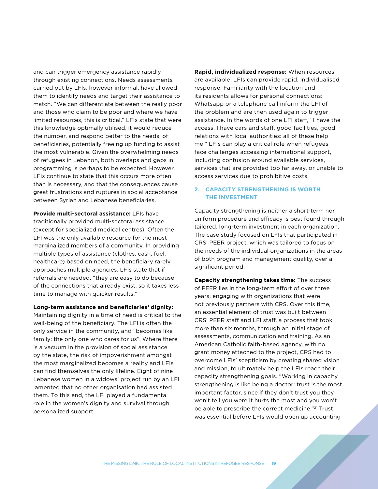and can trigger emergency assistance rapidly through existing connections. Needs assessments carried out by LFIs, however informal, have allowed them to identify needs and target their assistance to match. "We can differentiate between the really poor and those who claim to be poor and where we have limited resources, this is critical." LFIs state that were this knowledge optimally utilised, it would reduce the number, and respond better to the needs, of beneficiaries, potentially freeing up funding to assist the most vulnerable. Given the overwhelming needs of refugees in Lebanon, both overlaps and gaps in programming is perhaps to be expected. However, LFIs continue to state that this occurs more often than is necessary, and that the consequences cause great frustrations and ruptures in social acceptance between Syrian and Lebanese beneficiaries.

**Provide multi-sectoral assistance:** LFIs have traditionally provided multi-sectoral assistance (except for specialized medical centres). Often the LFI was the only available resource for the most marginalized members of a community. In providing multiple types of assistance (clothes, cash, fuel, healthcare) based on need, the beneficiary rarely approaches multiple agencies. LFIs state that if referrals are needed, "they are easy to do because of the connections that already exist, so it takes less time to manage with quicker results."

#### **Long-term assistance and beneficiaries' dignity:**

Maintaining dignity in a time of need is critical to the well-being of the beneficiary. The LFI is often the only service in the community, and "becomes like family: the only one who cares for us". Where there is a vacuum in the provision of social assistance by the state, the risk of impoverishment amongst the most marginalized becomes a reality and LFIs can find themselves the only lifeline. Eight of nine Lebanese women in a widows' project run by an LFI lamented that no other organisation had assisted them. To this end, the LFI played a fundamental role in the women's dignity and survival through personalized support.

**Rapid, individualized response:** When resources are available, LFIs can provide rapid, individualised response. Familiarity with the location and its residents allows for personal connections: Whatsapp or a telephone call inform the LFI of the problem and are then used again to trigger assistance. In the words of one LFI staff, "I have the access, I have cars and staff, good facilities, good relations with local authorities: all of these help me." LFIs can play a critical role when refugees face challenges accessing international support, including confusion around available services, services that are provided too far away, or unable to access services due to prohibitive costs.

#### **2. CAPACITY STRENGTHENING IS WORTH THE INVESTMENT**

Capacity strengthening is neither a short-term nor uniform procedure and efficacy is best found through tailored, long-term investment in each organization. The case study focused on LFIs that participated in CRS' PEER project, which was tailored to focus on the needs of the individual organizations in the areas of both program and management quality, over a significant period.

**Capacity strengthening takes time:** The success of PEER lies in the long-term effort of over three years, engaging with organizations that were not previously partners with CRS. Over this time, an essential element of trust was built between CRS' PEER staff and LFI staff, a process that took more than six months, through an initial stage of assessments, communication and training. As an American Catholic faith-based agency, with no grant money attached to the project, CRS had to overcome LFIs' scepticism by creating shared vision and mission, to ultimately help the LFIs reach their capacity strengthening goals. "Working in capacity strengthening is like being a doctor: trust is the most important factor, since if they don't trust you they won't tell you were it hurts the most and you won't be able to prescribe the correct medicine."21 Trust was essential before LFIs would open up accounting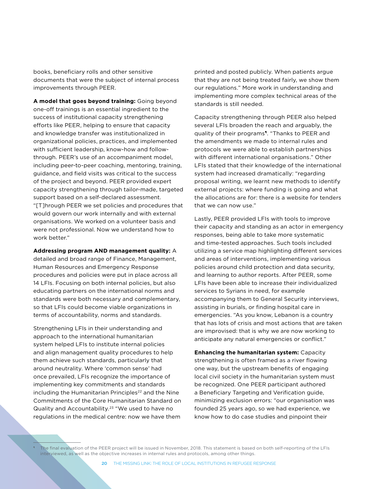books, beneficiary rolls and other sensitive documents that were the subject of internal process improvements through PEER.

**A model that goes beyond training:** Going beyond one-off trainings is an essential ingredient to the success of institutional capacity strengthening efforts like PEER, helping to ensure that capacity and knowledge transfer was institutionalized in organizational policies, practices, and implemented with sufficient leadership, know-how and followthrough. PEER's use of an accompaniment model, including peer-to-peer coaching, mentoring, training, guidance, and field visits was critical to the success of the project and beyond. PEER provided expert capacity strengthening through tailor-made, targeted support based on a self-declared assessment. "[T]hrough PEER we set policies and procedures that would govern our work internally and with external organisations. We worked on a volunteer basis and were not professional. Now we understand how to work better."

#### **Addressing program AND management quality:** A

detailed and broad range of Finance, Management, Human Resources and Emergency Response procedures and policies were put in place across all 14 LFIs. Focusing on both internal policies, but also educating partners on the international norms and standards were both necessary and complementary, so that LFIs could become viable organizations in terms of accountability, norms and standards.

Strengthening LFIs in their understanding and approach to the international humanitarian system helped LFIs to institute internal policies and align management quality procedures to help them achieve such standards, particularly that around neutrality. Where 'common sense' had once prevailed, LFIs recognize the importance of implementing key commitments and standards including the Humanitarian Principles<sup>22</sup> and the Nine Commitments of the Core Humanitarian Standard on Quality and Accountability.23 "We used to have no regulations in the medical centre: now we have them printed and posted publicly. When patients argue that they are not being treated fairly, we show them our regulations." More work in understanding and implementing more complex technical areas of the standards is still needed.

Capacity strengthening through PEER also helped several LFIs broaden the reach and arguably, the quality of their programs¶. "Thanks to PEER and the amendments we made to internal rules and protocols we were able to establish partnerships with different international organisations." Other LFIs stated that their knowledge of the international system had increased dramatically: "regarding proposal writing, we learnt new methods to identify external projects: where funding is going and what the allocations are for: there is a website for tenders that we can now use."

Lastly, PEER provided LFIs with tools to improve their capacity and standing as an actor in emergency responses, being able to take more systematic and time-tested approaches. Such tools included utilizing a service map highlighting different services and areas of interventions, implementing various policies around child protection and data security, and learning to author reports. After PEER, some LFIs have been able to increase their individualized services to Syrians in need, for example accompanying them to General Security interviews, assisting in burials, or finding hospital care in emergencies. "As you know, Lebanon is a country that has lots of crisis and most actions that are taken are improvised: that is why we are now working to anticipate any natural emergencies or conflict."

**Enhancing the humanitarian system:** Capacity strengthening is often framed as a river flowing one way, but the upstream benefits of engaging local civil society in the humanitarian system must be recognized. One PEER participant authored a Beneficiary Targeting and Verification guide, minimizing exclusion errors: "our organisation was founded 25 years ago, so we had experience, we know how to do case studies and pinpoint their

The final evaluation of the PEER project will be issued in November, 2018. This statement is based on both self-reporting of the LFIs interviewed, as well as the objective increases in internal rules and protocols, among other things.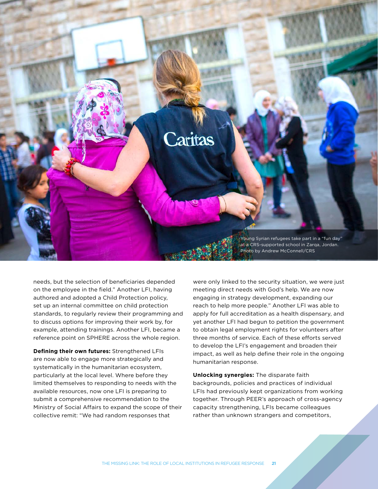

needs, but the selection of beneficiaries depended on the employee in the field." Another LFI, having authored and adopted a Child Protection policy, set up an internal committee on child protection standards, to regularly review their programming and to discuss options for improving their work by, for example, attending trainings. Another LFI, became a reference point on SPHERE across the whole region.

**Defining their own futures:** Strengthened LFIs are now able to engage more strategically and systematically in the humanitarian ecosystem, particularly at the local level. Where before they limited themselves to responding to needs with the available resources, now one LFI is preparing to submit a comprehensive recommendation to the Ministry of Social Affairs to expand the scope of their collective remit: "We had random responses that

were only linked to the security situation, we were just meeting direct needs with God's help. We are now engaging in strategy development, expanding our reach to help more people." Another LFI was able to apply for full accreditation as a health dispensary, and yet another LFI had begun to petition the government to obtain legal employment rights for volunteers after three months of service. Each of these efforts served to develop the LFI's engagement and broaden their impact, as well as help define their role in the ongoing humanitarian response.

**Unlocking synergies:** The disparate faith backgrounds, policies and practices of individual LFIs had previously kept organizations from working together. Through PEER's approach of cross-agency capacity strengthening, LFIs became colleagues rather than unknown strangers and competitors,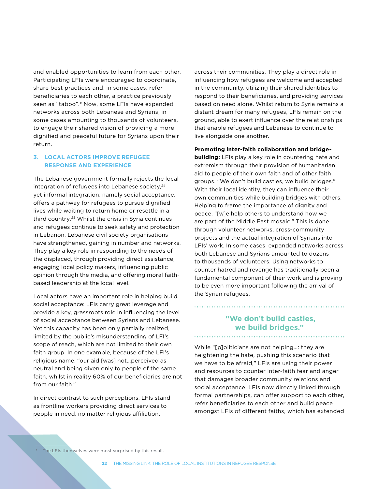and enabled opportunities to learn from each other. Participating LFIs were encouraged to coordinate, share best practices and, in some cases, refer beneficiaries to each other, a practice previously seen as "taboo".\* Now, some LFIs have expanded networks across both Lebanese and Syrians, in some cases amounting to thousands of volunteers, to engage their shared vision of providing a more dignified and peaceful future for Syrians upon their return.

#### **3. LOCAL ACTORS IMPROVE REFUGEE RESPONSE AND EXPERIENCE**

The Lebanese government formally rejects the local integration of refugees into Lebanese society,<sup>24</sup> yet informal integration, namely social acceptance, offers a pathway for refugees to pursue dignified lives while waiting to return home or resettle in a third country.25 Whilst the crisis in Syria continues and refugees continue to seek safety and protection in Lebanon, Lebanese civil society organisations have strengthened, gaining in number and networks. They play a key role in responding to the needs of the displaced, through providing direct assistance, engaging local policy makers, influencing public opinion through the media, and offering moral faithbased leadership at the local level.

Local actors have an important role in helping build social acceptance: LFIs carry great leverage and provide a key, grassroots role in influencing the level of social acceptance between Syrians and Lebanese. Yet this capacity has been only partially realized, limited by the public's misunderstanding of LFI's scope of reach, which are not limited to their own faith group. In one example, because of the LFI's religious name, "our aid [was] not…perceived as neutral and being given only to people of the same faith, whilst in reality 60% of our beneficiaries are not from our faith."

In direct contrast to such perceptions, LFIs stand as frontline workers providing direct services to people in need, no matter religious affiliation,

across their communities. They play a direct role in influencing how refugees are welcome and accepted in the community, utilizing their shared identities to respond to their beneficiaries, and providing services based on need alone. Whilst return to Syria remains a distant dream for many refugees, LFIs remain on the ground, able to exert influence over the relationships that enable refugees and Lebanese to continue to live alongside one another.

#### **Promoting inter-faith collaboration and bridge-**

**building:** LFIs play a key role in countering hate and extremism through their provision of humanitarian aid to people of their own faith and of other faith groups. "We don't build castles, we build bridges." With their local identity, they can influence their own communities while building bridges with others. Helping to frame the importance of dignity and peace, "[w]e help others to understand how we are part of the Middle East mosaic." This is done through volunteer networks, cross-community projects and the actual integration of Syrians into LFIs' work. In some cases, expanded networks across both Lebanese and Syrians amounted to dozens to thousands of volunteers. Using networks to counter hatred and revenge has traditionally been a fundamental component of their work and is proving to be even more important following the arrival of the Syrian refugees.

# **"We don't build castles, we build bridges."**

While "[p]oliticians are not helping…: they are heightening the hate, pushing this scenario that we have to be afraid," LFIs are using their power and resources to counter inter-faith fear and anger that damages broader community relations and social acceptance. LFIs now directly linked through formal partnerships, can offer support to each other, refer beneficiaries to each other and build peace amongst LFIs of different faiths, which has extended

The LFIs themselves were most surprised by this result.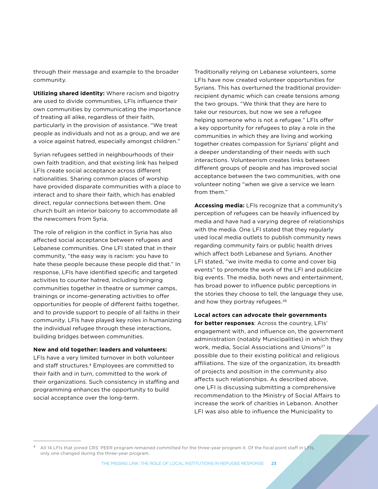through their message and example to the broader community.

**Utilizing shared identity:** Where racism and bigotry are used to divide communities, LFIs influence their own communities by communicating the importance of treating all alike, regardless of their faith, particularly in the provision of assistance. "We treat people as individuals and not as a group, and we are a voice against hatred, especially amongst children."

Syrian refugees settled in neighbourhoods of their own faith tradition, and that existing link has helped LFIs create social acceptance across different nationalities. Sharing common places of worship have provided disparate communities with a place to interact and to share their faith, which has enabled direct, regular connections between them. One church built an interior balcony to accommodate all the newcomers from Syria.

The role of religion in the conflict in Syria has also affected social acceptance between refugees and Lebanese communities. One LFI stated that in their community, "the easy way is racism: you have to hate these people because these people did that." In response, LFIs have identified specific and targeted activities to counter hatred, including bringing communities together in theatre or summer camps, trainings or income-generating activities to offer opportunities for people of different faiths together, and to provide support to people of all faiths in their community. LFIs have played key roles in humanizing the individual refugee through these interactions, building bridges between communities.

#### **New and old together: leaders and volunteers:**

LFIs have a very limited turnover in both volunteer and staff structures.† Employees are committed to their faith and in turn, committed to the work of their organizations. Such consistency in staffing and programming enhances the opportunity to build social acceptance over the long-term.

Traditionally relying on Lebanese volunteers, some LFIs have now created volunteer opportunities for Syrians. This has overturned the traditional providerrecipient dynamic which can create tensions among the two groups. "We think that they are here to take our resources, but now we see a refugee helping someone who is not a refugee." LFIs offer a key opportunity for refugees to play a role in the communities in which they are living and working together creates compassion for Syrians' plight and a deeper understanding of their needs with such interactions. Volunteerism creates links between different groups of people and has improved social acceptance between the two communities, with one volunteer noting "when we give a service we learn from them."

**Accessing media:** LFIs recognize that a community's perception of refugees can be heavily influenced by media and have had a varying degree of relationships with the media. One LFI stated that they regularly used local media outlets to publish community news regarding community fairs or public health drives which affect both Lebanese and Syrians. Another LFI stated, "we invite media to come and cover big events" to promote the work of the LFI and publicize big events. The media, both news and entertainment, has broad power to influence public perceptions in the stories they choose to tell, the language they use, and how they portray refugees.<sup>26</sup>

#### **Local actors can advocate their governments for better responses**: Across the country, LFIs' engagement with, and influence on, the government administration (notably Municipalities) in which they work, media, Social Associations and Unions<sup>27</sup> is possible due to their existing political and religious affiliations. The size of the organization, its breadth of projects and position in the community also affects such relationships. As described above, one LFI is discussing submitting a comprehensive recommendation to the Ministry of Social Affairs to increase the work of charities in Lebanon. Another LFI was also able to influence the Municipality to

<sup>†</sup> All 14 LFIs that joined CRS' PEER program remained committed for the three-year program it. Of the focal point staff in LFIs, only one changed during the three-year program.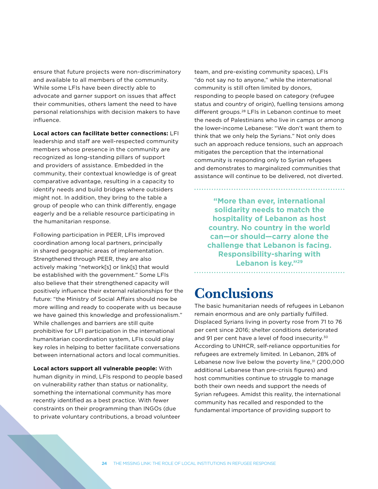<span id="page-23-0"></span>ensure that future projects were non-discriminatory and available to all members of the community. While some LFIs have been directly able to advocate and garner support on issues that affect their communities, others lament the need to have personal relationships with decision makers to have influence.

**Local actors can facilitate better connections:** LFI leadership and staff are well-respected community members whose presence in the community are recognized as long-standing pillars of support and providers of assistance. Embedded in the community, their contextual knowledge is of great comparative advantage, resulting in a capacity to identify needs and build bridges where outsiders might not. In addition, they bring to the table a group of people who can think differently, engage eagerly and be a reliable resource participating in the humanitarian response.

Following participation in PEER, LFIs improved coordination among local partners, principally in shared geographic areas of implementation. Strengthened through PEER, they are also actively making "network[s] or link[s] that would be established with the government." Some LFIs also believe that their strengthened capacity will positively influence their external relationships for the future: "the Ministry of Social Affairs should now be more willing and ready to cooperate with us because we have gained this knowledge and professionalism." While challenges and barriers are still quite prohibitive for LFI participation in the international humanitarian coordination system, LFIs could play key roles in helping to better facilitate conversations between international actors and local communities.

**Local actors support all vulnerable people:** With human dignity in mind, LFIs respond to people based on vulnerability rather than status or nationality, something the international community has more recently identified as a best practice. With fewer constraints on their programming than INGOs (due to private voluntary contributions, a broad volunteer

team, and pre-existing community spaces), LFIs "do not say no to anyone," while the international community is still often limited by donors, responding to people based on category (refugee status and country of origin), fuelling tensions among different groups.28 LFIs in Lebanon continue to meet the needs of Palestinians who live in camps or among the lower-income Lebanese: "We don't want them to think that we only help the Syrians." Not only does such an approach reduce tensions, such an approach mitigates the perception that the international community is responding only to Syrian refugees and demonstrates to marginalized communities that assistance will continue to be delivered, not diverted.

**"More than ever, international solidarity needs to match the hospitality of Lebanon as host country. No country in the world can—or should—carry alone the challenge that Lebanon is facing. Responsibility-sharing with Lebanon is key."29**

# **Conclusions**

The basic humanitarian needs of refugees in Lebanon remain enormous and are only partially fulfilled. Displaced Syrians living in poverty rose from 71 to 76 per cent since 2016; shelter conditions deteriorated and 91 per cent have a level of food insecurity.<sup>30</sup> According to UNHCR, self-reliance opportunities for refugees are extremely limited. In Lebanon, 28% of Lebanese now live below the poverty line, $31$  (200,000) additional Lebanese than pre-crisis figures) and host communities continue to struggle to manage both their own needs and support the needs of Syrian refugees. Amidst this reality, the international community has recalled and responded to the fundamental importance of providing support to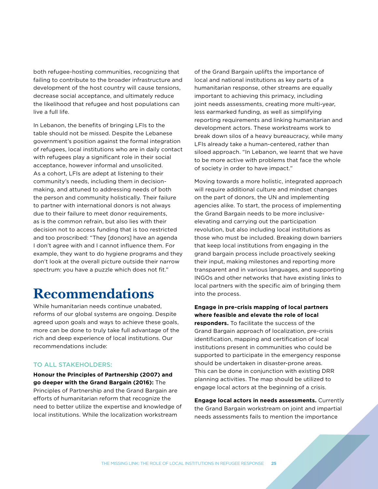<span id="page-24-0"></span>both refugee-hosting communities, recognizing that failing to contribute to the broader infrastructure and development of the host country will cause tensions, decrease social acceptance, and ultimately reduce the likelihood that refugee and host populations can live a full life.

In Lebanon, the benefits of bringing LFIs to the table should not be missed. Despite the Lebanese government's position against the formal integration of refugees, local institutions who are in daily contact with refugees play a significant role in their social acceptance, however informal and unsolicited. As a cohort, LFIs are adept at listening to their community's needs, including them in decisionmaking, and attuned to addressing needs of both the person and community holistically. Their failure to partner with international donors is not always due to their failure to meet donor requirements, as is the common refrain, but also lies with their decision not to access funding that is too restricted and too proscribed: "They [donors] have an agenda I don't agree with and I cannot influence them. For example, they want to do hygiene programs and they don't look at the overall picture outside their narrow spectrum: you have a puzzle which does not fit."

# **Recommendations**

While humanitarian needs continue unabated, reforms of our global systems are ongoing. Despite agreed upon goals and ways to achieve these goals, more can be done to truly take full advantage of the rich and deep experience of local institutions. Our recommendations include:

#### TO ALL STAKEHOLDERS:

**Honour the Principles of Partnership (2007) and go deeper with the Grand Bargain (2016):** The Principles of Partnership and the Grand Bargain are efforts of humanitarian reform that recognize the need to better utilize the expertise and knowledge of local institutions. While the localization workstream

of the Grand Bargain uplifts the importance of local and national institutions as key parts of a humanitarian response, other streams are equally important to achieving this primacy, including joint needs assessments, creating more multi-year, less earmarked funding, as well as simplifying reporting requirements and linking humanitarian and development actors. These workstreams work to break down silos of a heavy bureaucracy, while many LFIs already take a human-centered, rather than siloed approach. "In Lebanon, we learnt that we have to be more active with problems that face the whole of society in order to have impact."

Moving towards a more holistic, integrated approach will require additional culture and mindset changes on the part of donors, the UN and implementing agencies alike. To start, the process of implementing the Grand Bargain needs to be more inclusiveelevating and carrying out the participation revolution, but also including local institutions as those who must be included. Breaking down barriers that keep local institutions from engaging in the grand bargain process include proactively seeking their input, making milestones and reporting more transparent and in various languages, and supporting INGOs and other networks that have existing links to local partners with the specific aim of bringing them into the process.

**Engage in pre-crisis mapping of local partners where feasible and elevate the role of local responders.** To facilitate the success of the Grand Bargain approach of localization, pre-crisis identification, mapping and certification of local institutions present in communities who could be supported to participate in the emergency response should be undertaken in disaster-prone areas. This can be done in conjunction with existing DRR planning activities. The map should be utilized to engage local actors at the beginning of a crisis.

**Engage local actors in needs assessments.** Currently the Grand Bargain workstream on joint and impartial needs assessments fails to mention the importance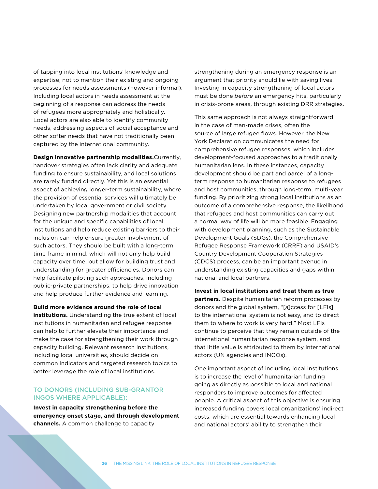of tapping into local institutions' knowledge and expertise, not to mention their existing and ongoing processes for needs assessments (however informal). Including local actors in needs assessment at the beginning of a response can address the needs of refugees more appropriately and holistically. Local actors are also able to identify community needs, addressing aspects of social acceptance and other softer needs that have not traditionally been captured by the international community.

**Design innovative partnership modalities.**Currently, handover strategies often lack clarity and adequate funding to ensure sustainability, and local solutions are rarely funded directly. Yet this is an essential aspect of achieving longer-term sustainability, where the provision of essential services will ultimately be undertaken by local government or civil society. Designing new partnership modalities that account for the unique and specific capabilities of local institutions and help reduce existing barriers to their inclusion can help ensure greater involvement of such actors. They should be built with a long-term time frame in mind, which will not only help build capacity over time, but allow for building trust and understanding for greater efficiencies. Donors can help facilitate piloting such approaches, including public-private partnerships, to help drive innovation and help produce further evidence and learning.

**Build more evidence around the role of local institutions.** Understanding the true extent of local institutions in humanitarian and refugee response can help to further elevate their importance and make the case for strengthening their work through capacity building. Relevant research institutions, including local universities, should decide on common indicators and targeted research topics to better leverage the role of local institutions.

#### TO DONORS (INCLUDING SUB-GRANTOR INGOS WHERE APPLICABLE):

**Invest in capacity strengthening before the emergency onset stage, and through development channels.** A common challenge to capacity

strengthening during an emergency response is an argument that priority should lie with saving lives. Investing in capacity strengthening of local actors must be done *before* an emergency hits, particularly in crisis-prone areas, through existing DRR strategies.

This same approach is not always straightforward in the case of man-made crises, often the source of large refugee flows. However, the New York Declaration communicates the need for comprehensive refugee responses, which includes development-focused approaches to a traditionally humanitarian lens. In these instances, capacity development should be part and parcel of a longterm response to humanitarian response to refugees and host communities, through long-term, multi-year funding. By prioritizing strong local institutions as an outcome of a comprehensive response, the likelihood that refugees and host communities can carry out a normal way of life will be more feasible. Engaging with development planning, such as the Sustainable Development Goals (SDGs), the Comprehensive Refugee Response Framework (CRRF) and USAID's Country Development Cooperation Strategies (CDCS) process, can be an important avenue in understanding existing capacities and gaps within national and local partners.

**Invest in local institutions and treat them as true partners.** Despite humanitarian reform processes by donors and the global system, "[a]ccess for [LFIs] to the international system is not easy, and to direct them to where to work is very hard." Most LFIs continue to perceive that they remain outside of the international humanitarian response system, and that little value is attributed to them by international actors (UN agencies and INGOs).

One important aspect of including local institutions is to increase the level of humanitarian funding going as directly as possible to local and national responders to improve outcomes for affected people. A critical aspect of this objective is ensuring increased funding covers local organizations' indirect costs, which are essential towards enhancing local and national actors' ability to strengthen their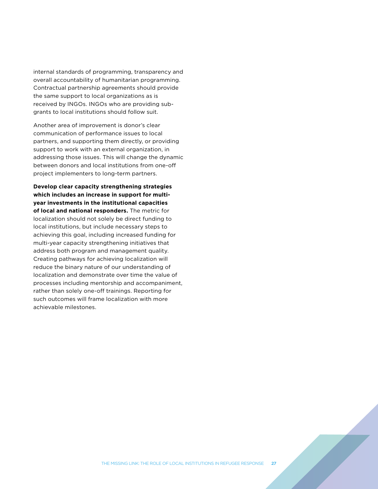internal standards of programming, transparency and overall accountability of humanitarian programming. Contractual partnership agreements should provide the same support to local organizations as is received by INGOs. INGOs who are providing subgrants to local institutions should follow suit.

Another area of improvement is donor's clear communication of performance issues to local partners, and supporting them directly, or providing support to work with an external organization, in addressing those issues. This will change the dynamic between donors and local institutions from one-off project implementers to long-term partners.

**Develop clear capacity strengthening strategies which includes an increase in support for multiyear investments in the institutional capacities of local and national responders.** The metric for localization should not solely be direct funding to local institutions, but include necessary steps to achieving this goal, including increased funding for multi-year capacity strengthening initiatives that address both program and management quality. Creating pathways for achieving localization will reduce the binary nature of our understanding of localization and demonstrate over time the value of processes including mentorship and accompaniment, rather than solely one-off trainings. Reporting for such outcomes will frame localization with more achievable milestones.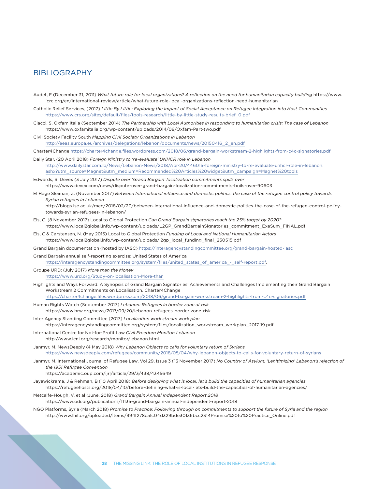### <span id="page-27-0"></span>BIBLIOGRAPHY

- Audet, F (December 31, 2011) *What future role for local organizations? A reflection on the need for humanitarian capacity building* https://www. icrc.org/en/international-review/article/what-future-role-local-organizations-reflection-need-humanitarian
- Catholic Relief Services, (2017) *Little By Little: Exploring the Impact of Social Acceptance on Refugee Integration into Host Communities* [https://www.crs.org/sites/default/files/tools-research/little-by-little-study-results-brief\\_0.pdf](https://www.crs.org/sites/default/files/tools-research/little-by-little-study-results-brief_0.pdf)
- Ciacci, S. Oxfam Italia (September 2014) *The Partnership with Local Authorities in responding to humanitarian crisis: The case of Lebanon*  https://www.oxfamitalia.org/wp-content/uploads/2014/09/Oxfam-Part-two.pdf

Civil Society Facility South *Mapping Civil Society Organizations in Lebanon* [http://eeas.europa.eu/archives/delegations/lebanon/documents/news/20150416\\_2\\_en.pdf](http://eeas.europa.eu/archives/delegations/lebanon/documents/news/20150416_2_en.pdf)

Charter4Change<https://charter4change.files.wordpress.com/2018/06/grand-bargain-workstream-2-highlights-from-c4c-signatories.pdf>

Daily Star, (20 April 2018) *Foreign Ministry to 're-evaluate' UNHCR role in Lebanon* [http://www.dailystar.com.lb/News/Lebanon-News/2018/Apr-20/446015-foreign-ministry-to-re-evaluate-unhcr-role-in-lebanon.](http://www.dailystar.com.lb/News/Lebanon-News/2018/Apr-20/446015-foreign-ministry-to-re-evaluate-unhcr-role-in-lebanon.ashx?utm_source=Magnet&utm_medium=Recommended%20Articles%20widget&utm_campaign=Magnet%20tools) [ashx?utm\\_source=Magnet&utm\\_medium=Recommended%20Articles%20widget&utm\\_campaign=Magnet%20tools](http://www.dailystar.com.lb/News/Lebanon-News/2018/Apr-20/446015-foreign-ministry-to-re-evaluate-unhcr-role-in-lebanon.ashx?utm_source=Magnet&utm_medium=Recommended%20Articles%20widget&utm_campaign=Magnet%20tools)

- Edwards, S. Devex (3 July 2017) *Dispute over 'Grand Bargain' localization commitments spills over*  https://www.devex.com/news/dispute-over-grand-bargain-localization-commitments-boils-over-90603
- El Hage Sleiman, Z. (November 2017) *Between International influence and domestic politics: the case of the refugee control policy towards Syrian refugees in Lebanon*

http://blogs.lse.ac.uk/mec/2018/02/20/between-international-influence-and-domestic-politics-the-case-of-the-refugee-control-policytowards-syrian-refugees-in-lebanon/

- Els, C. (8 November 2017) Local to Global Protection *Can Grand Bargain signatories reach the 25% target by 2020?*  https://www.local2global.info/wp-content/uploads/L2GP\_GrandBargainSignatories\_commitment\_ExeSum\_FINAL.pdf
- Els, C & Carstensen, N. (May 2015) Local to Global Protection *Funding of Local and National Humanitarian Actors* https://www.local2global.info/wp-content/uploads/l2gp\_local\_funding\_final\_250515.pdf
- Grand Bargain documentation (hosted by IASC)<https://interagencystandingcommittee.org/grand-bargain-hosted-iasc>

Grand Bargain annual self-reporting exercise: United States of America [https://interagencystandingcommittee.org/system/files/united\\_states\\_of\\_america\\_-\\_self-report.pdf](https://interagencystandingcommittee.org/system/files/united_states_of_america_-_self-report.pdf).

- Groupe URD: (July 2017) *More than the Money* <https://www.urd.org/Study-on-localisation-More-than>
- Highlights and Ways Forward: A Synopsis of Grand Bargain Signatories' Achievements and Challenges Implementing their Grand Bargain Workstream 2 Commitments on Localisation. Charter4Change <https://charter4change.files.wordpress.com/2018/06/grand-bargain-workstream-2-highlights-from-c4c-signatories.pdf>
- Human Rights Watch (September 2017) *Lebanon: Refugees in border zone at risk* https://www.hrw.org/news/2017/09/20/lebanon-refugees-border-zone-risk
- Inter Agency Standing Committee (2017) *Localization work stream work plan* https://interagencystandingcommittee.org/system/files/localization\_workstream\_workplan\_2017-19.pdf
- International Centre for Not-for-Profit Law *Civil Freedom Monitor: Lebanon* http://www.icnl.org/research/monitor/lebanon.html
- Janmyr, M. NewsDeeply (4 May 2018) *Why Lebanon Objects to calls for voluntary return of Syrians*
- <https://www.newsdeeply.com/refugees/community/2018/05/04/why-lebanon-objects-to-calls-for-voluntary-return-of-syrians>
- Janmyr, M. International Journal of Refugee Law, Vol 29, Issue 3 (13 November 2017) *No Country of Asylum: 'Lehitimizing' Lebanon's rejection of the 1951 Refugee Convention*

https://academic.oup.com/ijrl/article/29/3/438/4345649

- Jayawickrama, J & Rehman, B (10 April 2018) *Before designing what is local, let's build the capacities of humanitarian agencies* https://refugeehosts.org/2018/04/10/before-defining-what-is-local-lets-build-the-capacities-of-humanitarian-agencies/
- Metcalfe-Hough, V. et al (June, 2018) *Grand Bargain Annual Independent Report 2018*
- https://www.odi.org/publications/11135-grand-bargain-annual-independent-report-2018
- NGO Platforms, Syria (March 2018) *Promise to Practice: Following through on commitments to support the future of Syria and the region*  http://www.lhif.org/uploaded/Items/994f278ca1c04d329bde30136bcc2314Promise%20to%20Practice\_Online.pdf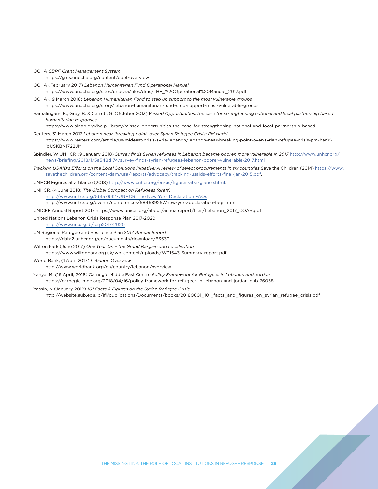OCHA *CBPF Grant Management System* 

https://gms.unocha.org/content/cbpf-overview

OCHA (February 2017) *Lebanon Humanitarian Fund Operational Manual* https://www.unocha.org/sites/unocha/files/dms/LHF\_%20Operational%20Manual\_2017.pdf

OCHA (19 March 2018) *Lebanon Humanitarian Fund to step up support to the most vulnerable groups* https://www.unocha.org/story/lebanon-humanitarian-fund-step-support-most-vulnerable-groups

Ramalingam, B., Gray, B. & Cerruti, G. (October 2013) M*issed Opportunities: the case for strengthening national and local partnership based humanitarian responses*

https://www.alnap.org/help-library/missed-opportunities-the-case-for-strengthening-national-and-local-partnership-based

Reuters, 31 March 2017 *Lebanon near 'breaking point' over Syrian Refugee Crisis: PM Hariri* https://www.reuters.com/article/us-mideast-crisis-syria-lebanon/lebanon-near-breaking-point-over-syrian-refugee-crisis-pm-haririidUSKBN1722JM

Spindler, W UNHCR (9 January 2018) Survey finds Syrian refugees in Lebanon became poorer, more vulnerable in 2017 [http://www.unhcr.org/](http://www.unhcr.org/news/briefing/2018/1/5a548d174/survey-finds-syrian-refugees-lebanon-poorer-vulnerable-2017.html) [news/briefing/2018/1/5a548d174/survey-finds-syrian-refugees-lebanon-poorer-vulnerable-2017.html](http://www.unhcr.org/news/briefing/2018/1/5a548d174/survey-finds-syrian-refugees-lebanon-poorer-vulnerable-2017.html)

*Tracking USAID's Efforts on the Local Solutions Initiative: A review of select procurements in six countries* Save the Children (2014) [https://www.](https://www.savethechildren.org/content/dam/usa/reports/advocacy/tracking-usaids-efforts-final-jan-2015.pdf) [savethechildren.org/content/dam/usa/reports/advocacy/tracking-usaids-efforts-final-jan-2015.pdf.](https://www.savethechildren.org/content/dam/usa/reports/advocacy/tracking-usaids-efforts-final-jan-2015.pdf)

#### UNHCR Figures at a Glance (2018) [http://www.unhcr.org/en-us/figures-at-a-glance.html.](http://www.unhcr.org/en-us/figures-at-a-glance.html)

UNHCR, (4 June 2018) *The Global Compact on Refugees (draft)*

<http://www.unhcr.org/5b1579427>UNHCR, The New York Declaration FAQs

http://www.unhcr.org/events/conferences/584689257/new-york-declaration-faqs.html

- UNICEF Annual Report 2017 https://www.unicef.org/about/annualreport/files/Lebanon\_2017\_COAR.pdf
- United Nations Lebanon Crisis Response Plan 2017-2020 <http://www.un.org.lb/lcrp2017-2020>
- UN Regional Refugee and Resilience Plan *2017 Annual Report* https://data2.unhcr.org/en/documents/download/63530

Wilton Park (June 2017) *One Year On – the Grand Bargain and Localisation*  https://www.wiltonpark.org.uk/wp-content/uploads/WP1543-Summary-report.pdf

World Bank, (1 April 2017) *Lebanon Overview*

http://www.worldbank.org/en/country/lebanon/overview

Yahya, M. (16 April, 2018) Carnegie Middle East Centre *Policy Framework for Refugees in Lebanon and Jordan*  https://carnegie-mec.org/2018/04/16/policy-framework-for-refugees-in-lebanon-and-jordan-pub-76058

Yassin, N (January 2018) *101 Facts & Figures on the Syrian Refugee Crisis* 

http://website.aub.edu.lb/ifi/publications/Documents/books/20180601\_101\_facts\_and\_figures\_on\_syrian\_refugee\_crisis.pdf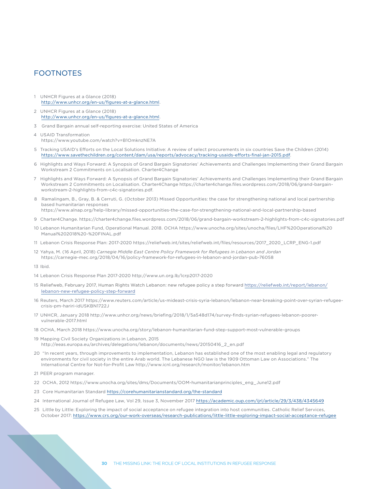# <span id="page-29-0"></span>FOOTNOTES

- 1 UNHCR Figures at a Glance (2018) <http://www.unhcr.org/en-us/figures-at-a-glance.html>.
- 2 UNHCR Figures at a Glance (2018) <http://www.unhcr.org/en-us/figures-at-a-glance.html>.
- 3 Grand Bargain annual self-reporting exercise: United States of America
- 4 USAID Transformation https://www.youtube.com/watch?v=B1OmknzNE7A
- 5 Tracking USAID's Efforts on the Local Solutions Initiative: A review of select procurements in six countries Save the Children (2014) <https://www.savethechildren.org/content/dam/usa/reports/advocacy/tracking-usaids-efforts-final-jan-2015.pdf>.
- 6 Highlights and Ways Forward: A Synopsis of Grand Bargain Signatories' Achievements and Challenges Implementing their Grand Bargain Workstream 2 Commitments on Localisation. Charter4Change
- 7 Highlights and Ways Forward: A Synopsis of Grand Bargain Signatories' Achievements and Challenges Implementing their Grand Bargain Workstream 2 Commitments on Localisation. Charter4Change https://charter4change.files.wordpress.com/2018/06/grand-bargainworkstream-2-highlights-from-c4c-signatories.pdf.
- 8 Ramalingam, B., Gray, B. & Cerruti, G. (October 2013) Missed Opportunities: the case for strengthening national and local partnership based humanitarian responses https://www.alnap.org/help-library/missed-opportunities-the-case-for-strengthening-national-and-local-partnership-based
- 9 Charter4Change. https://charter4change.files.wordpress.com/2018/06/grand-bargain-workstream-2-highlights-from-c4c-signatories.pdf
- 10 Lebanon Humanitarian Fund, Operational Manual. 2018. OCHA https://www.unocha.org/sites/unocha/files/LHF%20Operational%20 Manual%202018%20-%20FINAL.pdf
- 11 Lebanon Crisis Response Plan: 2017-2020 https://reliefweb.int/sites/reliefweb.int/files/resources/2017\_2020\_LCRP\_ENG-1.pdf
- 12 Yahya, M. (16 April, 2018) *Carnegie Middle East Centre Policy Framework for Refugees in Lebanon and Jordan*  https://carnegie-mec.org/2018/04/16/policy-framework-for-refugees-in-lebanon-and-jordan-pub-76058
- 13 Ibid.
- 14 Lebanon Crisis Response Plan 2017-2020 http://www.un.org.lb/lcrp2017-2020
- 15 Reliefweb, February 2017, Human Rights Watch Lebanon: new refugee policy a step forward [https://reliefweb.int/report/lebanon/](https://reliefweb.int/report/lebanon/lebanon-new-refugee-policy-step-forward) [lebanon-new-refugee-policy-step-forward](https://reliefweb.int/report/lebanon/lebanon-new-refugee-policy-step-forward)
- 16 Reuters, March 2017 https://www.reuters.com/article/us-mideast-crisis-syria-lebanon/lebanon-near-breaking-point-over-syrian-refugeecrisis-pm-hariri-idUSKBN1722J
- 17 UNHCR, January 2018 http://www.unhcr.org/news/briefing/2018/1/5a548d174/survey-finds-syrian-refugees-lebanon-poorervulnerable-2017.html
- 18 OCHA, March 2018 https://www.unocha.org/story/lebanon-humanitarian-fund-step-support-most-vulnerable-groups
- 19 Mapping Civil Society Organizations in Lebanon, 2015 http://eeas.europa.eu/archives/delegations/lebanon/documents/news/20150416\_2\_en.pdf
- 20 "In recent years, through improvements to implementation, Lebanon has established one of the most enabling legal and regulatory environments for civil society in the entire Arab world. The Lebanese NGO law is the 1909 Ottoman Law on Associations." The International Centre for Not-for-Profit Law http://www.icnl.org/research/monitor/lebanon.htm
- 21 PEER program manager.
- 22 OCHA, 2012 https://www.unocha.org/sites/dms/Documents/OOM-humanitarianprinciples\_eng\_June12.pdf
- 23 Core Humanitarian Standard<https://corehumanitarianstandard.org/the-standard>
- 24 International Journal of Refugee Law, Vol 29, Issue 3, November 2017 <https://academic.oup.com/ijrl/article/29/3/438/4345649>
- 25 Little by Little: Exploring the impact of social acceptance on refugee integration into host communities. Catholic Relief Services, October 2017:<https://www.crs.org/our-work-overseas/research-publications/little-little-exploring-impact-social-acceptance-refugee>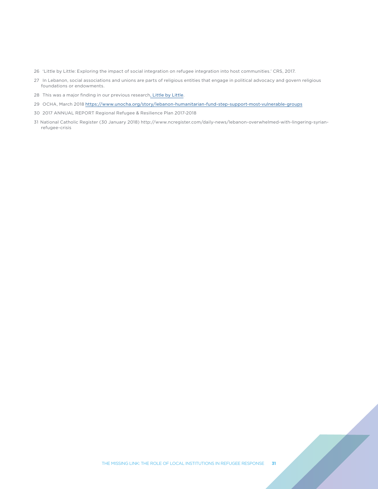- 26 'Little by Little: Exploring the impact of social integration on refugee integration into host communities.' CRS, 2017.
- 27 In Lebanon, social associations and unions are parts of religious entities that engage in political advocacy and govern religious foundations or endowments.
- 28 This was a major finding in our previous researc[h, Little by Little](https://www.crs.org/our-work-overseas/research-publications/little-little-exploring-impact-social-acceptance-refugee).
- 29 OCHA, March 2018<https://www.unocha.org/story/lebanon-humanitarian-fund-step-support-most-vulnerable-groups>
- 30 2017 ANNUAL REPORT Regional Refugee & Resilience Plan 2017-2018
- 31 National Catholic Register (30 January 2018) http://www.ncregister.com/daily-news/lebanon-overwhelmed-with-lingering-syrianrefugee-crisis